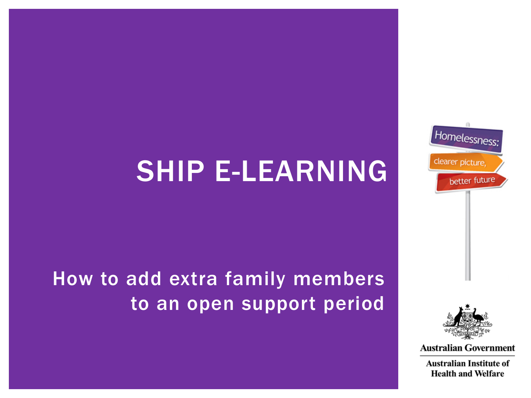## SHIP E-LEARNING

How to add extra family members to an open support period





**Australian Government** 

**Australian Institute of Health and Welfare**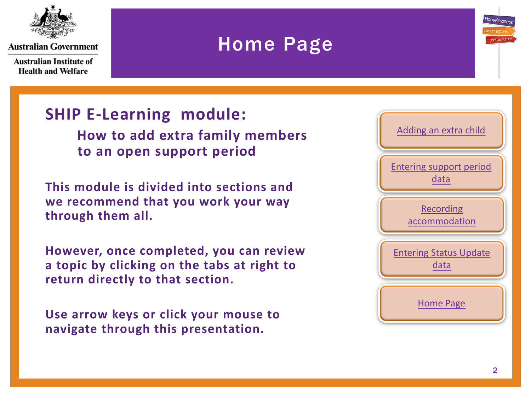<span id="page-1-0"></span>

Australian Institute of **Health and Welfare** 

### Home Page



 **to an open support period**

**This module is divided into sections and we recommend that you work your way through them all.**

**However, once completed, you can review a topic by clicking on the tabs at right to return directly to that section.**

**Use arrow keys or click your mouse to navigate through this presentation.**



Homelessn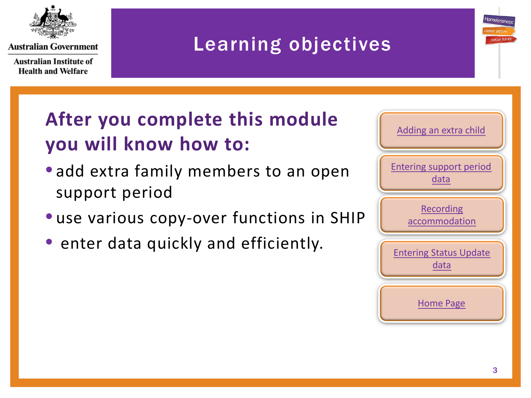

**Australian Institute of Health and Welfare** 

## Learning objectives

## **After you complete this module you will know how to:**

- add extra family members to an open support period
- use various copy-over functions in SHIP
- enter data quickly and efficiently.



Homelesse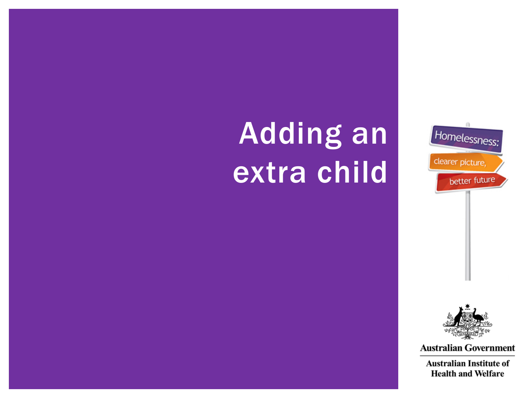# <span id="page-3-0"></span>Adding an extra child





**Australian Government** 

**Australian Institute of Health and Welfare**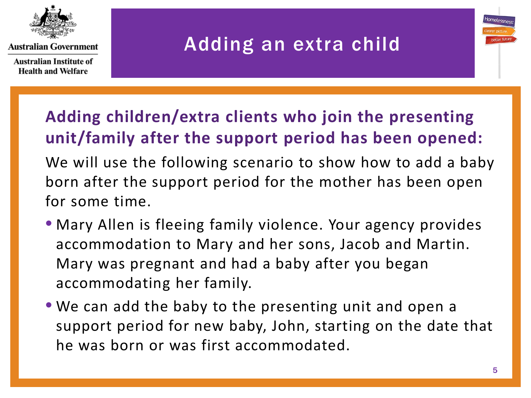

**Australian Institute of Health and Welfare** 

## Adding an extra child

### **Adding children/extra clients who join the presenting unit/family after the support period has been opened:**

We will use the following scenario to show how to add a baby born after the support period for the mother has been open for some time.

- Mary Allen is fleeing family violence. Your agency provides accommodation to Mary and her sons, Jacob and Martin. Mary was pregnant and had a baby after you began accommodating her family.
- We can add the baby to the presenting unit and open a support period for new baby, John, starting on the date that he was born or was first accommodated.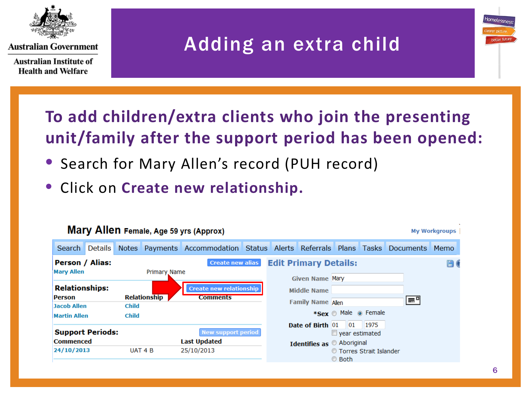

**Australian Institute of Health and Welfare** 

## Adding an extra child

#### **To add children/extra clients who join the presenting unit/family after the support period has been opened:**

- Search for Mary Allen's record (PUH record)
- Click on **Create new relationship.**

| Mary Allen Female, Age 59 yrs (Approx)<br><b>My Workgroups</b> |         |              |                     |                                                                                 |  |  |                                                        |                       |                            |    |  |     |
|----------------------------------------------------------------|---------|--------------|---------------------|---------------------------------------------------------------------------------|--|--|--------------------------------------------------------|-----------------------|----------------------------|----|--|-----|
| Search                                                         | Details |              |                     | Notes Payments Accommodation Status Alerts Referrals Plans Tasks Documents Memo |  |  |                                                        |                       |                            |    |  |     |
| Person / Alias:<br><b>Mary Allen</b>                           |         |              | Primary Name        | <b>Create new alias</b>                                                         |  |  | <b>Edit Primary Details:</b><br><b>Given Name Mary</b> |                       |                            |    |  | H ( |
| <b>Relationships:</b><br><b>Person</b><br><b>Jacob Allen</b>   |         | <b>Child</b> | <b>Relationship</b> | <b>Create new relationship</b><br><b>Comments</b>                               |  |  | Middle Name<br><b>Family Name Allen</b>                |                       |                            | ËΞ |  |     |
| <b>Martin Allen</b>                                            |         | <b>Child</b> |                     |                                                                                 |  |  | Date of Birth 01                                       | $_{01}$               | *Sex Male @ Female<br>1975 |    |  |     |
| <b>Support Periods:</b><br><b>Commenced</b>                    |         |              |                     | <b>New support period</b><br><b>Last Updated</b>                                |  |  | Identifies as Aboriginal                               | $\Box$ year estimated |                            |    |  |     |
| 24/10/2013                                                     |         |              | UAT 4 B             | 25/10/2013                                                                      |  |  |                                                        | © Both                | ◎ Torres Strait Islander   |    |  |     |

tomeless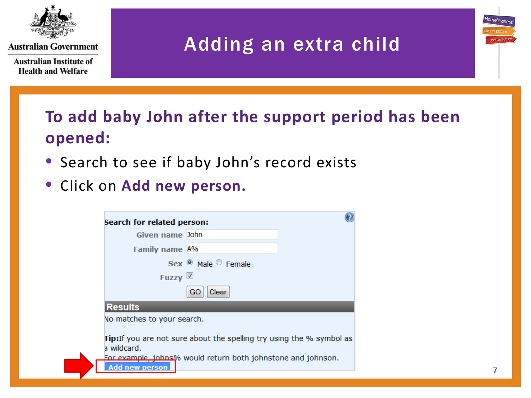

**Australian Institute of Health and Welfare** 

## Adding an extra child

#### **To add baby John after the support period has been opened:**

- Search to see if baby John's record exists
- Click on **Add new person.**

| Search for related person:           |                                                                                                                                              |  |
|--------------------------------------|----------------------------------------------------------------------------------------------------------------------------------------------|--|
| Given name John                      |                                                                                                                                              |  |
| <b>Family name A%</b>                |                                                                                                                                              |  |
|                                      | Sex <sup>O</sup> Male Female                                                                                                                 |  |
| Fuzzy V                              |                                                                                                                                              |  |
|                                      | Clear<br>GO                                                                                                                                  |  |
| <b>Results</b>                       |                                                                                                                                              |  |
| No matches to your search.           |                                                                                                                                              |  |
| a wildcard.<br><b>Add new person</b> | <b>Tip:</b> If you are not sure about the spelling try using the % symbol as<br>For example, johns% would return both johnstone and johnson. |  |

Homelessr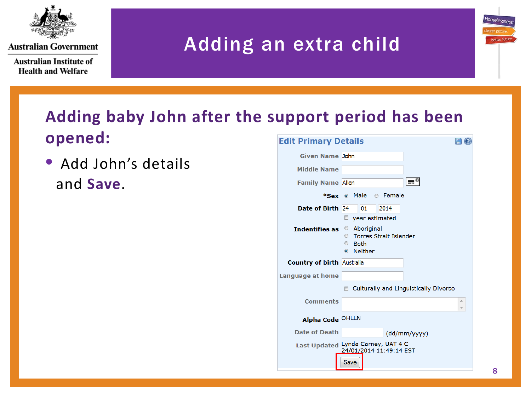

**Australian Institute of Health and Welfare** 

## Adding an extra child

#### **Adding baby John after the support period has been opened:** Edit Drimary Detaile  $\sqrt{2}$

• Add John's details and **Save**.

| egit Primary Details              | E W                                                                                                                  |
|-----------------------------------|----------------------------------------------------------------------------------------------------------------------|
| <b>Given Name John</b>            |                                                                                                                      |
| <b>Middle Name</b>                |                                                                                                                      |
| <b>Family Name Allen</b>          | l≕ <sub>¤</sub> l                                                                                                    |
|                                   | *Sex <sup>®</sup> Male<br><b>©</b> Female                                                                            |
| Date of Birth 24                  | 2014<br>01                                                                                                           |
|                                   | year estimated<br>$\Box$                                                                                             |
| <b>Indentifies as</b>             | Aboriginal<br><b>Torres Strait Islander</b><br>$\circ$<br>$\circledcirc$<br><b>Both</b><br><b>Neither</b><br>$\odot$ |
| <b>Country of birth Australia</b> |                                                                                                                      |
| Language at home                  |                                                                                                                      |
|                                   | Culturally and Linguistically Diverse                                                                                |
| <b>Comments</b>                   | A<br>$\overline{\mathbb{V}}$                                                                                         |
| Alpha Code OHLLN                  |                                                                                                                      |
| <b>Date of Death</b>              | (dd/mm/yyyy)                                                                                                         |
|                                   | Last Updated Lynda Carney, UAT 4 C<br>24/01/2014 11:49:14 EST                                                        |
|                                   | Save                                                                                                                 |
|                                   |                                                                                                                      |

Homelessne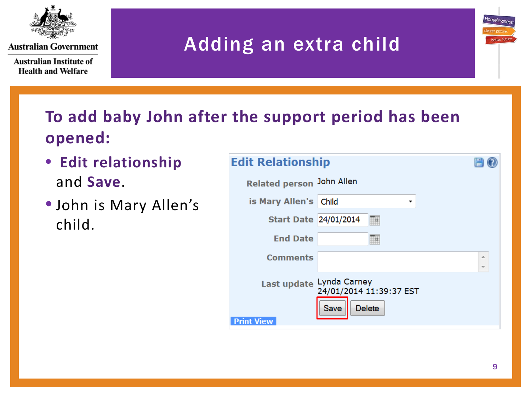

**Australian Institute of Health and Welfare** 

## Adding an extra child

#### **To add baby John after the support period has been opened:**

- **Edit relationship** and **Save**.
- John is Mary Allen's child.

| <b>Edit Relationship</b>                      |                                 |               |        |  |
|-----------------------------------------------|---------------------------------|---------------|--------|--|
| Related person John Allen                     |                                 |               |        |  |
| is Mary Allen's Child                         |                                 | ▼             |        |  |
| <b>Start Date 24/01/2014</b>                  |                                 | 膴             |        |  |
| <b>End Date</b>                               |                                 | ▦             |        |  |
| <b>Comments</b>                               |                                 |               | ∸<br>÷ |  |
| Last update Lynda Carney<br><b>Print View</b> | 24/01/2014 11:39:37 EST<br>Save | <b>Delete</b> |        |  |

Homelessen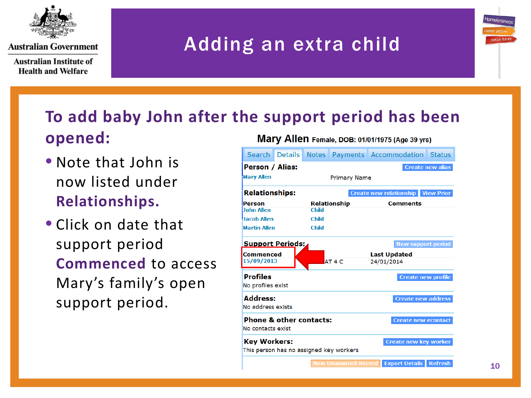

**Australian Institute of Health and Welfare** 

## Adding an extra child



- Note that John is now listed under **Relationships.**
- Click on date that support period **Commenced** to access Mary's family's open support period.

| Search Details                                                                        |                                            |              |                     | Notes Payments Accommodation Status       |  |  |  |  |
|---------------------------------------------------------------------------------------|--------------------------------------------|--------------|---------------------|-------------------------------------------|--|--|--|--|
|                                                                                       | Person / Alias:<br><b>Create new alias</b> |              |                     |                                           |  |  |  |  |
| <b>Mary Allen</b>                                                                     |                                            |              | <b>Primary Name</b> |                                           |  |  |  |  |
| <b>Relationships:</b>                                                                 |                                            |              |                     | <b>Create new relationship View Prior</b> |  |  |  |  |
| Person                                                                                |                                            |              | <b>Relationship</b> | <b>Comments</b>                           |  |  |  |  |
| <b>John Allen</b>                                                                     |                                            | <b>Child</b> |                     |                                           |  |  |  |  |
| <b>Jacob Allen</b>                                                                    |                                            | <b>Child</b> |                     |                                           |  |  |  |  |
| <b>Martin Allen</b>                                                                   |                                            | <b>Child</b> |                     |                                           |  |  |  |  |
| <b>Support Periods:</b>                                                               |                                            |              |                     | <b>New support period</b>                 |  |  |  |  |
| Commenced                                                                             |                                            |              |                     | <b>Last Updated</b>                       |  |  |  |  |
| 15/09/2013                                                                            |                                            |              | AT <sub>4</sub> C   | 24/01/2014                                |  |  |  |  |
| <b>Profiles</b>                                                                       |                                            |              |                     | <b>Create new profile</b>                 |  |  |  |  |
| No profiles exist                                                                     |                                            |              |                     |                                           |  |  |  |  |
| <b>Address:</b>                                                                       |                                            |              |                     | <b>Create new address</b>                 |  |  |  |  |
| No address exists                                                                     |                                            |              |                     |                                           |  |  |  |  |
| <b>Phone &amp; other contacts:</b><br><b>Create new econtact</b><br>No contacts exist |                                            |              |                     |                                           |  |  |  |  |
| <b>Key Workers:</b><br>This person has no assigned key workers                        |                                            |              |                     | <b>Create new key worker</b>              |  |  |  |  |
|                                                                                       |                                            |              |                     | Evnort Dotaile Dofroch                    |  |  |  |  |

Homelessi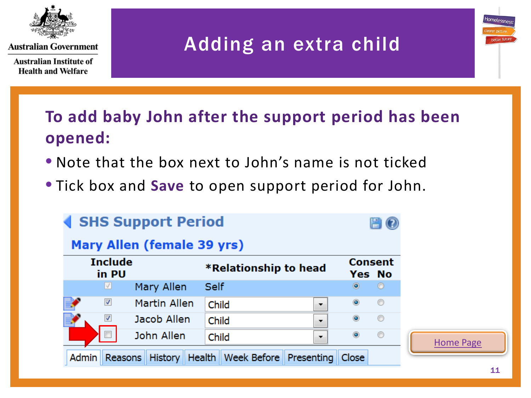

**Australian Institute of Health and Welfare** 

## Adding an extra child

**To add baby John after the support period has been opened:**

- Note that the box next to John's name is not ticked
- Tick box and **Save** to open support period for John.

| <b>SHS Support Period</b><br>Mary Allen (female 39 yrs) |                          |              |                                            |                |                                 |                  |
|---------------------------------------------------------|--------------------------|--------------|--------------------------------------------|----------------|---------------------------------|------------------|
|                                                         | <b>Include</b><br>in PU  |              | *Relationship to head                      |                | <b>Consent</b><br><b>Yes No</b> |                  |
|                                                         | ⊻                        | Mary Allen   | <b>Self</b>                                | $\circledcirc$ | $\circ$                         |                  |
|                                                         | $\blacktriangledown$     | Martin Allen | Child<br>۰.                                | $\circledcirc$ | $\circledcirc$                  |                  |
|                                                         | ⊽                        | Jacob Allen  | Child<br>▼                                 | $\circledcirc$ | $\circledcirc$                  |                  |
|                                                         | $\overline{\phantom{a}}$ | John Allen   | Child<br>▼                                 | $\circledcirc$ | $\circledcirc$                  | <b>Home Page</b> |
| <b>Admin</b>                                            | Reasons                  | History      | Week Before<br>Health<br><b>Presenting</b> | <b>Close</b>   |                                 |                  |

tomeless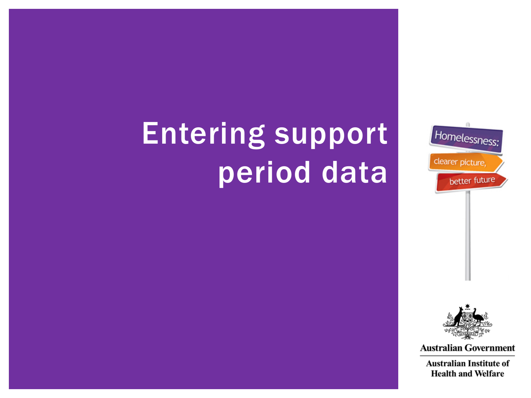

## <span id="page-11-0"></span>Entering support period data



**Australian Government** 

**Australian Institute of Health and Welfare**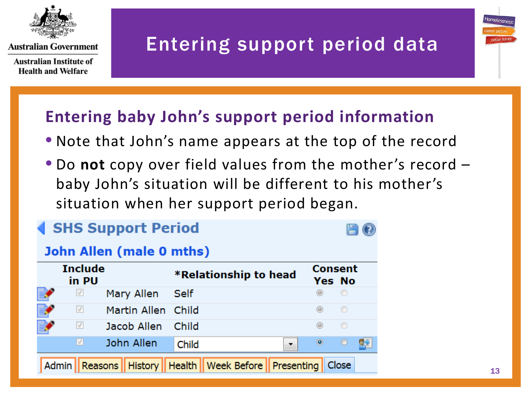

**Australian Institute of Health and Welfare** 

## Entering support period data



#### **Entering baby John's support period information**

- Note that John's name appears at the top of the record
- Do **not** copy over field values from the mother's record baby John's situation will be different to his mother's situation when her support period began.

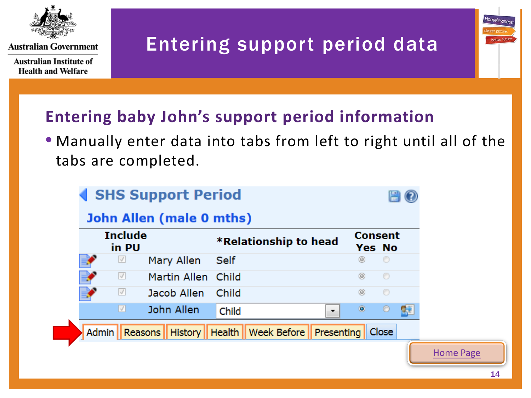

**Australian Institute of Health and Welfare** 

## Entering support period data

#### **Entering baby John's support period information**

#### • Manually enter data into tabs from left to right until all of the tabs are completed.

| <b>Include</b><br>in PU |                    |             | <b>*Relationship to head</b> | <b>Consent</b><br>Yes No |         |   |
|-------------------------|--------------------|-------------|------------------------------|--------------------------|---------|---|
| $\sqrt{}$               | Mary Allen         | <b>Self</b> |                              | $\circledcirc$           | $\circ$ |   |
| $\sqrt{}$               | Martin Allen Child |             |                              | $^{\circ}$               | $\circ$ |   |
| $\sqrt{}$               | Jacob Allen        | Child       |                              | ◉                        | $\circ$ |   |
| V                       | John Allen         | Child       | $\blacktriangledown$         | $\circledcirc$           | $\circ$ | 歸 |

Homelessn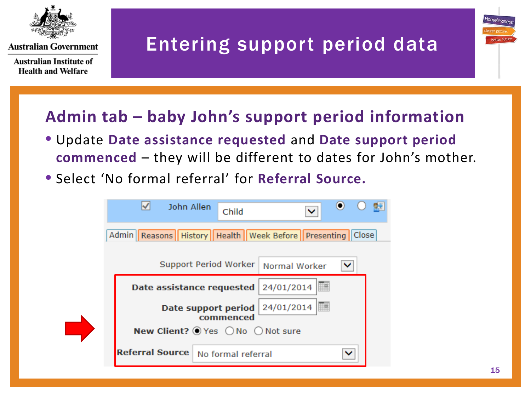

**Australian Institute of Health and Welfare** 

## Entering support period data

#### **Admin tab – baby John's support period information**

- Update **Date assistance requested** and **Date support period commenced** – they will be different to dates for John's mother.
- Select 'No formal referral' for **Referral Source.**



Homelesse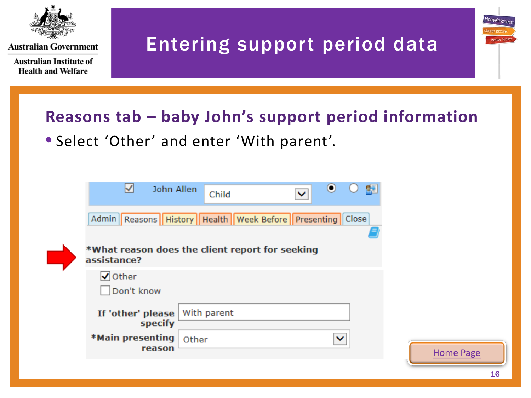

**Australian Institute of Health and Welfare** 

## Entering support period data

#### **Reasons tab – baby John's support period information**

• Select 'Other' and enter 'With parent'.

| ∨<br>John Allen                                                       | Child       | $\checkmark$ | $_{\odot}$<br>慰 |                  |
|-----------------------------------------------------------------------|-------------|--------------|-----------------|------------------|
| Admin   Reasons   History   Health   Week Before   Presenting   Close |             |              |                 |                  |
| *What reason does the client report for seeking<br>assistance?        |             |              |                 |                  |
| $\sqrt{}$ Other<br>Don't know                                         |             |              |                 |                  |
| If 'other' please<br>specify                                          | With parent |              |                 |                  |
| *Main presenting<br>reason                                            | Other       |              | $\checkmark$    | <b>Home Page</b> |

Homelessn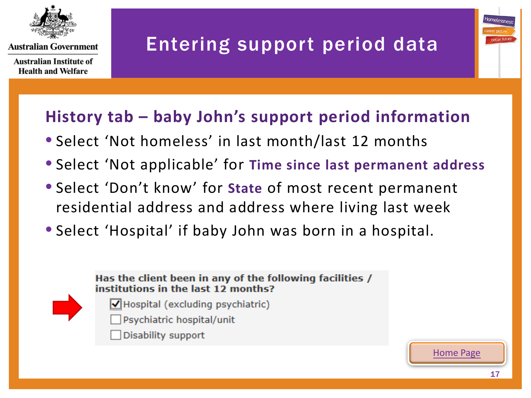

**Australian Institute of Health and Welfare** 

## Entering support period data



#### **History tab – baby John's support period information**

- Select 'Not homeless' in last month/last 12 months
- Select 'Not applicable' for **Time since last permanent address**
- Select 'Don't know' for **State** of most recent permanent residential address and address where living last week
- Select 'Hospital' if baby John was born in a hospital.



- $\sqrt{}$  Hospital (excluding psychiatric)
- Psychiatric hospital/unit
- Disability support

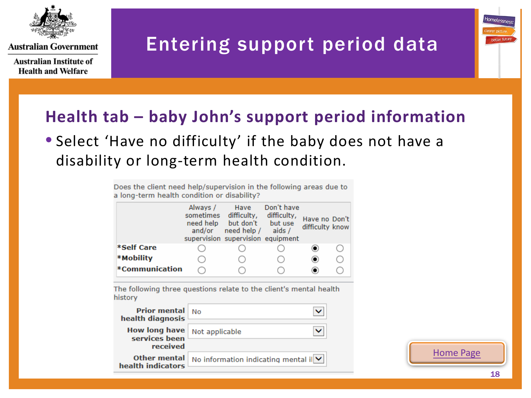

**Australian Institute of Health and Welfare** 

## Entering support period data



#### **Health tab – baby John's support period information**

#### • Select 'Have no difficulty' if the baby does not have a disability or long-term health condition.

Does the client need help/supervision in the following areas due to a long-term health condition or disability?

|                       | Always /<br>sometimes<br>need help<br>and/or | Have<br>difficulty,<br>but don't<br>need help /<br>supervision supervision equipment | Don't have<br>difficulty,<br>but use<br>aids/ | Have no Don't<br>difficulty know |  |
|-----------------------|----------------------------------------------|--------------------------------------------------------------------------------------|-----------------------------------------------|----------------------------------|--|
| *Self Care            |                                              |                                                                                      |                                               |                                  |  |
| *Mobility             |                                              |                                                                                      |                                               |                                  |  |
| <b>*Communication</b> |                                              |                                                                                      |                                               |                                  |  |

The following three questions relate to the client's mental health history

| <b>Prior mental</b><br>health diagnosis           | <b>No</b>                                 |  |
|---------------------------------------------------|-------------------------------------------|--|
| <b>How long have</b><br>services been<br>received | Not applicable                            |  |
| Other mental<br>health indicators                 | No information indicating mental il $ v $ |  |

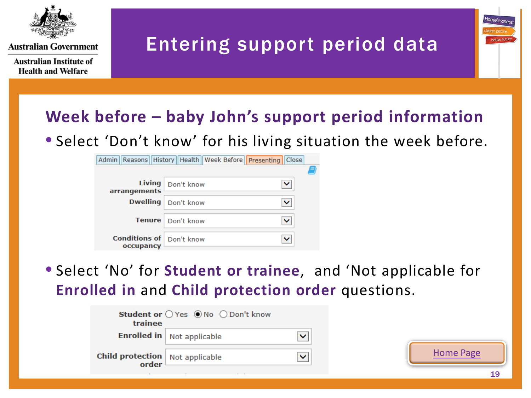

**Australian Institute of Health and Welfare** 

## Entering support period data



• Select 'Don't know' for his living situation the week before.

|                                              | Admin    Reasons    History    Health    Week Before    Presenting    Close |   |
|----------------------------------------------|-----------------------------------------------------------------------------|---|
|                                              |                                                                             |   |
| <i>arrangements</i>                          | Living   Don't know                                                         | ◡ |
|                                              | <b>Dwelling</b> Don't know                                                  |   |
|                                              | Tenure   Don't know                                                         | ◡ |
| <b>Conditions of Don't know</b><br>occupancy |                                                                             |   |

• Select 'No' for **Student or trainee**, and 'Not applicable for **Enrolled in** and **Child protection order** questions.

| trainee                                         | Student or ○ Yes ● No ○ Don't know |  |
|-------------------------------------------------|------------------------------------|--|
|                                                 | <b>Enrolled in</b> Not applicable  |  |
| <b>Child protection</b> Not applicable<br>order |                                    |  |
|                                                 |                                    |  |



tomeless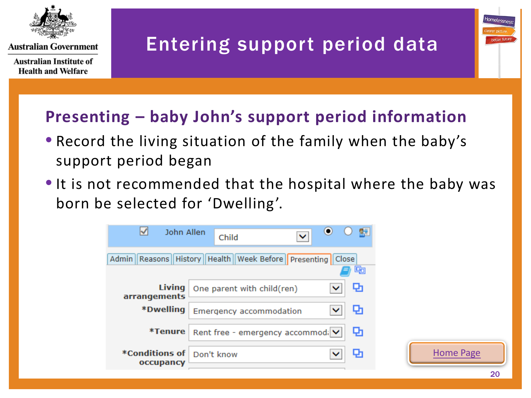

**Australian Institute of Health and Welfare** 

## Entering support period data

#### **Presenting – baby John's support period information**

- Record the living situation of the family when the baby's support period began
- It is not recommended that the hospital where the baby was born be selected for 'Dwelling'.



Homelessne: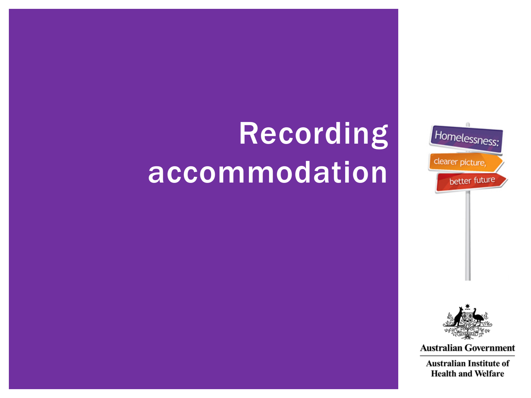

## <span id="page-20-0"></span>Recording accommodation



**Australian Government** 

**Australian Institute of Health and Welfare**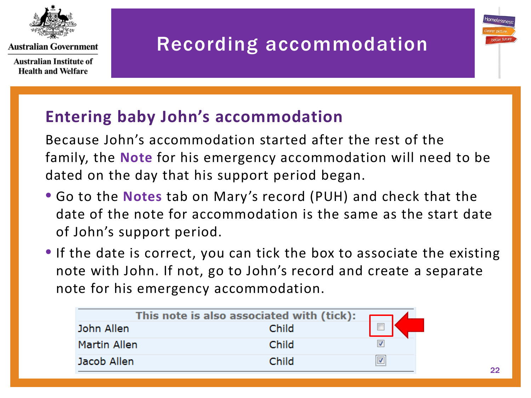

**Australian Institute of Health and Welfare** 

## Recording accommodation

#### **Entering baby John's accommodation**

Because John's accommodation started after the rest of the family, the **Note** for his emergency accommodation will need to be dated on the day that his support period began.

- Go to the **Notes** tab on Mary's record (PUH) and check that the date of the note for accommodation is the same as the start date of John's support period.
- If the date is correct, you can tick the box to associate the existing note with John. If not, go to John's record and create a separate note for his emergency accommodation.

| This note is also associated with (tick): |       |   |  |  |
|-------------------------------------------|-------|---|--|--|
| John Allen                                | Child | □ |  |  |
| Martin Allen                              | Child |   |  |  |
| Jacob Allen                               | Child |   |  |  |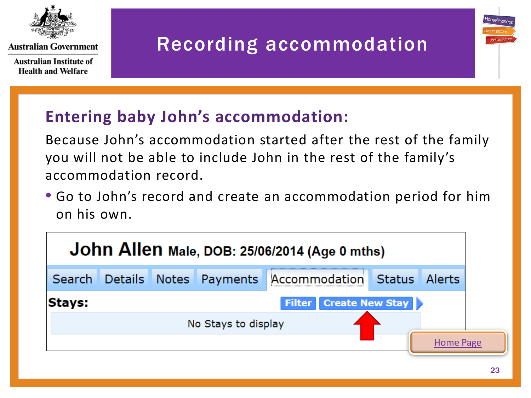

**Australian Institute of Health and Welfare** 

## Recording accommodation

#### **Entering baby John's accommodation:**

Because John's accommodation started after the rest of the family you will not be able to include John in the rest of the family's accommodation record.

• Go to John's record and create an accommodation period for him on his own.

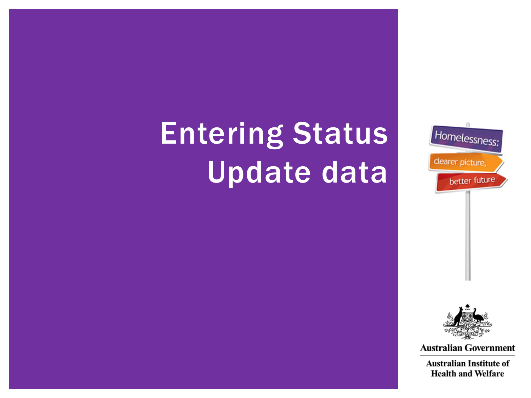

## <span id="page-23-0"></span>Entering Status Update data



**Australian Government** 

**Australian Institute of Health and Welfare**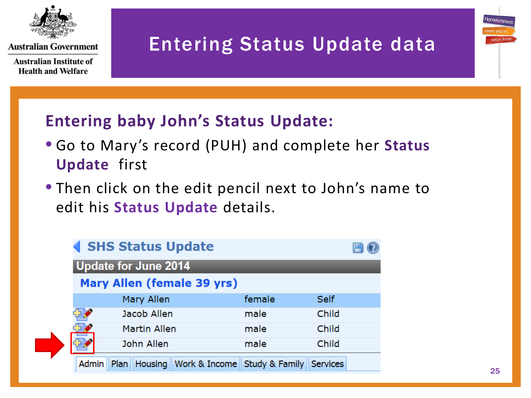

**Australian Institute of Health and Welfare** 

## Entering Status Update data

#### **Entering baby John's Status Update:**

- Go to Mary's record (PUH) and complete her **Status Update** first
- Then click on the edit pencil next to John's name to edit his **Status Update** details.

| ◀ SHS Status Update         |                     |                                       |        |             |  |  |
|-----------------------------|---------------------|---------------------------------------|--------|-------------|--|--|
| <b>Update for June 2014</b> |                     |                                       |        |             |  |  |
| Mary Allen (female 39 yrs)  |                     |                                       |        |             |  |  |
|                             | Mary Allen          |                                       | female | <b>Self</b> |  |  |
|                             | Jacob Allen         |                                       | male   | Child       |  |  |
|                             | <b>Martin Allen</b> |                                       | male   | Child       |  |  |
|                             | John Allen          |                                       | male   | Child       |  |  |
| <b>Admin</b>                | Plan<br>Housing     | Work & Income Study & Family Services |        |             |  |  |

tomeless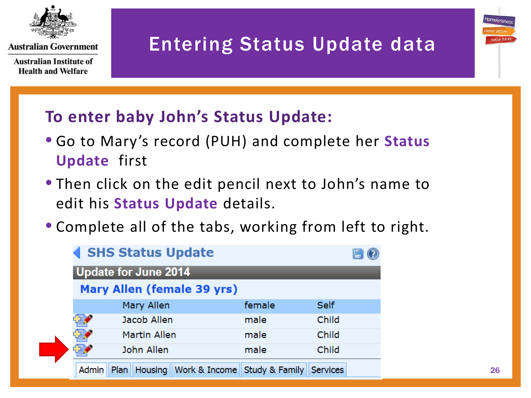

**Australian Institute of Health and Welfare** 

## Entering Status Update data

#### **To enter baby John's Status Update:**

- Go to Mary's record (PUH) and complete her **Status Update** first
- Then click on the edit pencil next to John's name to edit his **Status Update** details.
- Complete all of the tabs, working from left to right.

| ◀ SHS Status Update                                                   |        |             |  |  |  |  |  |
|-----------------------------------------------------------------------|--------|-------------|--|--|--|--|--|
| <b>Update for June 2014</b>                                           |        |             |  |  |  |  |  |
| Mary Allen (female 39 yrs)                                            |        |             |  |  |  |  |  |
| Mary Allen                                                            | female | <b>Self</b> |  |  |  |  |  |
| Jacob Allen                                                           | male   | Child       |  |  |  |  |  |
| <b>Martin Allen</b>                                                   | male   | Child       |  |  |  |  |  |
| John Allen                                                            | male   | Child       |  |  |  |  |  |
| Housing Work & Income Study & Family Services<br>Plan<br><b>Admin</b> |        |             |  |  |  |  |  |

Homelessi